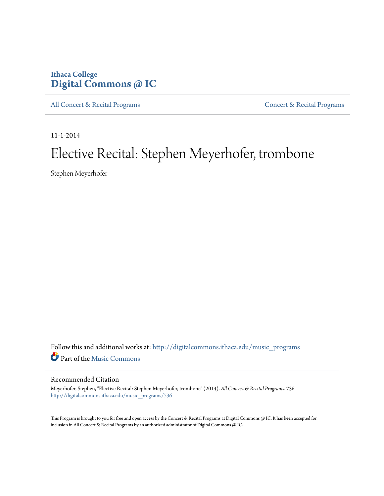## **Ithaca College [Digital Commons @ IC](http://digitalcommons.ithaca.edu?utm_source=digitalcommons.ithaca.edu%2Fmusic_programs%2F736&utm_medium=PDF&utm_campaign=PDFCoverPages)**

[All Concert & Recital Programs](http://digitalcommons.ithaca.edu/music_programs?utm_source=digitalcommons.ithaca.edu%2Fmusic_programs%2F736&utm_medium=PDF&utm_campaign=PDFCoverPages) **[Concert & Recital Programs](http://digitalcommons.ithaca.edu/som_programs?utm_source=digitalcommons.ithaca.edu%2Fmusic_programs%2F736&utm_medium=PDF&utm_campaign=PDFCoverPages)** 

11-1-2014

# Elective Recital: Stephen Meyerhofer, trombone

Stephen Meyerhofer

Follow this and additional works at: [http://digitalcommons.ithaca.edu/music\\_programs](http://digitalcommons.ithaca.edu/music_programs?utm_source=digitalcommons.ithaca.edu%2Fmusic_programs%2F736&utm_medium=PDF&utm_campaign=PDFCoverPages) Part of the [Music Commons](http://network.bepress.com/hgg/discipline/518?utm_source=digitalcommons.ithaca.edu%2Fmusic_programs%2F736&utm_medium=PDF&utm_campaign=PDFCoverPages)

#### Recommended Citation

Meyerhofer, Stephen, "Elective Recital: Stephen Meyerhofer, trombone" (2014). *All Concert & Recital Programs*. 736. [http://digitalcommons.ithaca.edu/music\\_programs/736](http://digitalcommons.ithaca.edu/music_programs/736?utm_source=digitalcommons.ithaca.edu%2Fmusic_programs%2F736&utm_medium=PDF&utm_campaign=PDFCoverPages)

This Program is brought to you for free and open access by the Concert & Recital Programs at Digital Commons @ IC. It has been accepted for inclusion in All Concert & Recital Programs by an authorized administrator of Digital Commons @ IC.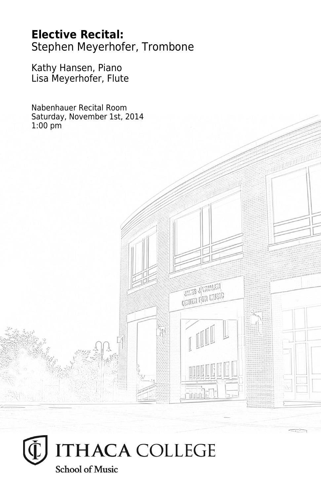**Elective Recital:** Stephen Meyerhofer, Trombone

**THES JUVANIEN CRITER FOR LIVEIG** 

Kathy Hansen, Piano Lisa Meyerhofer, Flute

Nabenhauer Recital Room Saturday, November 1st, 2014 1:00 pm